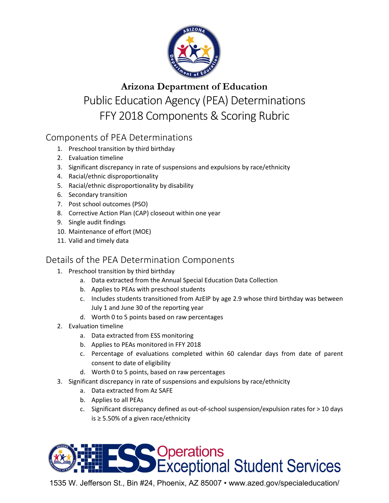

# **Arizona Department of Education** Public Education Agency (PEA) Determinations FFY 2018 Components & Scoring Rubric

## Components of PEA Determinations

- 1. Preschool transition by third birthday
- 2. Evaluation timeline
- 3. Significant discrepancy in rate of suspensions and expulsions by race/ethnicity
- 4. Racial/ethnic disproportionality
- 5. Racial/ethnic disproportionality by disability
- 6. Secondary transition
- 7. Post school outcomes (PSO)
- 8. Corrective Action Plan (CAP) closeout within one year
- 9. Single audit findings
- 10. Maintenance of effort (MOE)
- 11. Valid and timely data

### Details of the PEA Determination Components

- 1. Preschool transition by third birthday
	- a. Data extracted from the Annual Special Education Data Collection
	- b. Applies to PEAs with preschool students
	- c. Includes students transitioned from AzEIP by age 2.9 whose third birthday was between July 1 and June 30 of the reporting year
	- d. Worth 0 to 5 points based on raw percentages
- 2. Evaluation timeline
	- a. Data extracted from ESS monitoring
	- b. Applies to PEAs monitored in FFY 2018
	- c. Percentage of evaluations completed within 60 calendar days from date of parent consent to date of eligibility
	- d. Worth 0 to 5 points, based on raw percentages
- 3. Significant discrepancy in rate of suspensions and expulsions by race/ethnicity
	- a. Data extracted from Az SAFE
	- b. Applies to all PEAs
	- c. Significant discrepancy defined as out-of-school suspension/expulsion rates for > 10 days is ≥ 5.50% of a given race/ethnicity



1535 W. Jefferson St., Bin #24, Phoenix, AZ 85007 • www.azed.gov/specialeducation/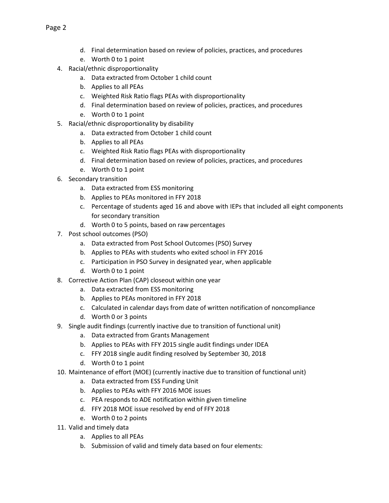- d. Final determination based on review of policies, practices, and procedures
- e. Worth 0 to 1 point
- 4. Racial/ethnic disproportionality
	- a. Data extracted from October 1 child count
	- b. Applies to all PEAs
	- c. Weighted Risk Ratio flags PEAs with disproportionality
	- d. Final determination based on review of policies, practices, and procedures
	- e. Worth 0 to 1 point
- 5. Racial/ethnic disproportionality by disability
	- a. Data extracted from October 1 child count
	- b. Applies to all PEAs
	- c. Weighted Risk Ratio flags PEAs with disproportionality
	- d. Final determination based on review of policies, practices, and procedures
	- e. Worth 0 to 1 point
- 6. Secondary transition
	- a. Data extracted from ESS monitoring
	- b. Applies to PEAs monitored in FFY 2018
	- c. Percentage of students aged 16 and above with IEPs that included all eight components for secondary transition
	- d. Worth 0 to 5 points, based on raw percentages
- 7. Post school outcomes (PSO)
	- a. Data extracted from Post School Outcomes (PSO) Survey
	- b. Applies to PEAs with students who exited school in FFY 2016
	- c. Participation in PSO Survey in designated year, when applicable
	- d. Worth 0 to 1 point
- 8. Corrective Action Plan (CAP) closeout within one year
	- a. Data extracted from ESS monitoring
	- b. Applies to PEAs monitored in FFY 2018
	- c. Calculated in calendar days from date of written notification of noncompliance
	- d. Worth 0 or 3 points
- 9. Single audit findings (currently inactive due to transition of functional unit)
	- a. Data extracted from Grants Management
	- b. Applies to PEAs with FFY 2015 single audit findings under IDEA
	- c. FFY 2018 single audit finding resolved by September 30, 2018
	- d. Worth 0 to 1 point
- 10. Maintenance of effort (MOE) (currently inactive due to transition of functional unit)
	- a. Data extracted from ESS Funding Unit
	- b. Applies to PEAs with FFY 2016 MOE issues
	- c. PEA responds to ADE notification within given timeline
	- d. FFY 2018 MOE issue resolved by end of FFY 2018
	- e. Worth 0 to 2 points
- 11. Valid and timely data
	- a. Applies to all PEAs
	- b. Submission of valid and timely data based on four elements: